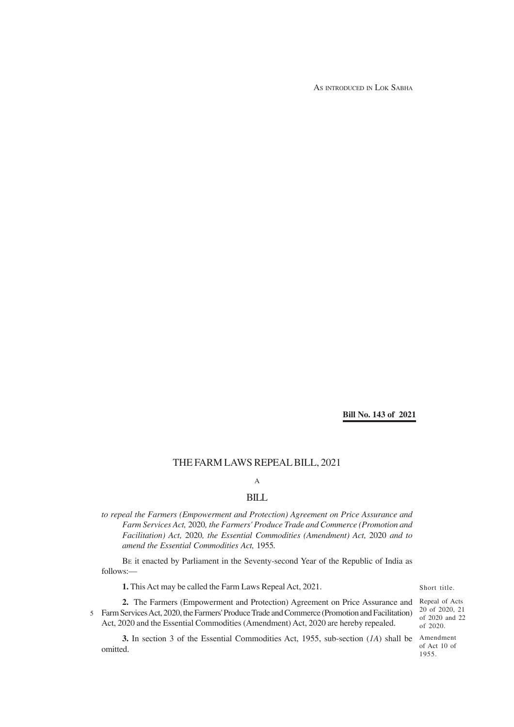AS INTRODUCED IN LOK SABHA

**Bill No. 143 of 2021**

# THE FARM LAWS REPEAL BILL, 2021

# A

### BILL

*to repeal the Farmers (Empowerment and Protection) Agreement on Price Assurance and Farm Services Act,* 2020*, the Farmers' Produce Trade and Commerce (Promotion and Facilitation) Act,* 2020*, the Essential Commodities (Amendment) Act,* 2020 *and to amend the Essential Commodities Act,* 1955*.*

BE it enacted by Parliament in the Seventy-second Year of the Republic of India as follows:—

**1.** This Act may be called the Farm Laws Repeal Act, 2021.

#### Short title.

**2.** The Farmers (Empowerment and Protection) Agreement on Price Assurance and Farm Services Act, 2020, the Farmers' Produce Trade and Commerce (Promotion and Facilitation) 5 Act, 2020 and the Essential Commodities (Amendment) Act, 2020 are hereby repealed.

**3.** In section 3 of the Essential Commodities Act, 1955, sub-section (*1A*) shall be Amendment omitted.

Repeal of Acts 20 of 2020, 21 of 2020 and 22 of 2020.

of Act 10 of 1955.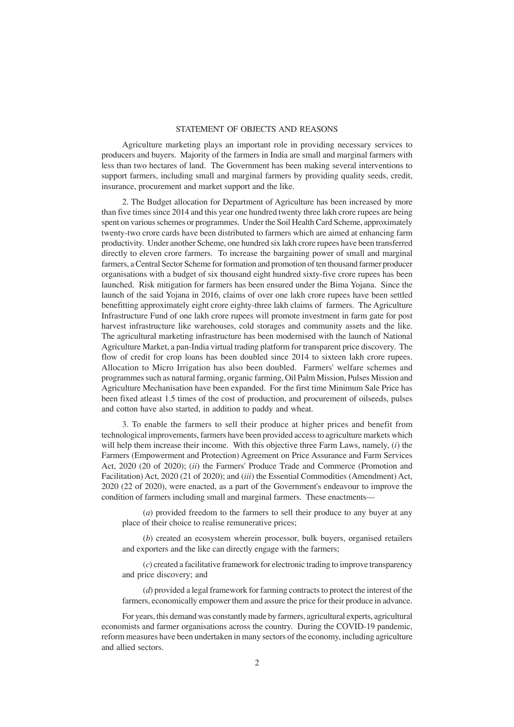#### STATEMENT OF OBJECTS AND REASONS

Agriculture marketing plays an important role in providing necessary services to producers and buyers. Majority of the farmers in India are small and marginal farmers with less than two hectares of land. The Government has been making several interventions to support farmers, including small and marginal farmers by providing quality seeds, credit, insurance, procurement and market support and the like.

2. The Budget allocation for Department of Agriculture has been increased by more than five times since 2014 and this year one hundred twenty three lakh crore rupees are being spent on various schemes or programmes. Under the Soil Health Card Scheme, approximately twenty-two crore cards have been distributed to farmers which are aimed at enhancing farm productivity. Under another Scheme, one hundred six lakh crore rupees have been transferred directly to eleven crore farmers. To increase the bargaining power of small and marginal farmers, a Central Sector Scheme for formation and promotion of ten thousand farmer producer organisations with a budget of six thousand eight hundred sixty-five crore rupees has been launched. Risk mitigation for farmers has been ensured under the Bima Yojana. Since the launch of the said Yojana in 2016, claims of over one lakh crore rupees have been settled benefitting approximately eight crore eighty-three lakh claims of farmers. The Agriculture Infrastructure Fund of one lakh crore rupees will promote investment in farm gate for post harvest infrastructure like warehouses, cold storages and community assets and the like. The agricultural marketing infrastructure has been modernised with the launch of National Agriculture Market, a pan-India virtual trading platform for transparent price discovery. The flow of credit for crop loans has been doubled since 2014 to sixteen lakh crore rupees. Allocation to Micro Irrigation has also been doubled. Farmers' welfare schemes and programmes such as natural farming, organic farming, Oil Palm Mission, Pulses Mission and Agriculture Mechanisation have been expanded. For the first time Minimum Sale Price has been fixed atleast 1.5 times of the cost of production, and procurement of oilseeds, pulses and cotton have also started, in addition to paddy and wheat.

3. To enable the farmers to sell their produce at higher prices and benefit from technological improvements, farmers have been provided access to agriculture markets which will help them increase their income. With this objective three Farm Laws, namely, (*i*) the Farmers (Empowerment and Protection) Agreement on Price Assurance and Farm Services Act, 2020 (20 of 2020); (*ii*) the Farmers' Produce Trade and Commerce (Promotion and Facilitation) Act, 2020 (21 of 2020); and (*iii*) the Essential Commodities (Amendment) Act, 2020 (22 of 2020), were enacted, as a part of the Government's endeavour to improve the condition of farmers including small and marginal farmers. These enactments—

(*a*) provided freedom to the farmers to sell their produce to any buyer at any place of their choice to realise remunerative prices;

(*b*) created an ecosystem wherein processor, bulk buyers, organised retailers and exporters and the like can directly engage with the farmers;

(*c*) created a facilitative framework for electronic trading to improve transparency and price discovery; and

(*d*) provided a legal framework for farming contracts to protect the interest of the farmers, economically empower them and assure the price for their produce in advance.

For years, this demand was constantly made by farmers, agricultural experts, agricultural economists and farmer organisations across the country. During the COVID-19 pandemic, reform measures have been undertaken in many sectors of the economy, including agriculture and allied sectors.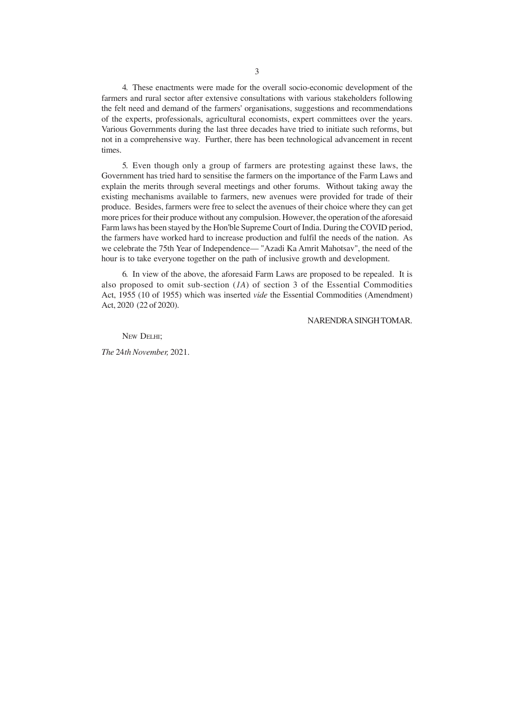4. These enactments were made for the overall socio-economic development of the farmers and rural sector after extensive consultations with various stakeholders following the felt need and demand of the farmers' organisations, suggestions and recommendations of the experts, professionals, agricultural economists, expert committees over the years. Various Governments during the last three decades have tried to initiate such reforms, but not in a comprehensive way. Further, there has been technological advancement in recent times.

5. Even though only a group of farmers are protesting against these laws, the Government has tried hard to sensitise the farmers on the importance of the Farm Laws and explain the merits through several meetings and other forums. Without taking away the existing mechanisms available to farmers, new avenues were provided for trade of their produce. Besides, farmers were free to select the avenues of their choice where they can get more prices for their produce without any compulsion. However, the operation of the aforesaid Farm laws has been stayed by the Hon'ble Supreme Court of India. During the COVID period, the farmers have worked hard to increase production and fulfil the needs of the nation. As we celebrate the 75th Year of Independence— "Azadi Ka Amrit Mahotsav", the need of the hour is to take everyone together on the path of inclusive growth and development.

6. In view of the above, the aforesaid Farm Laws are proposed to be repealed. It is also proposed to omit sub-section (*1A*) of section 3 of the Essential Commodities Act, 1955 (10 of 1955) which was inserted *vide* the Essential Commodities (Amendment) Act, 2020 (22 of 2020).

### NARENDRA SINGH TOMAR.

NEW DELHI;

*The* 24*th November,* 2021.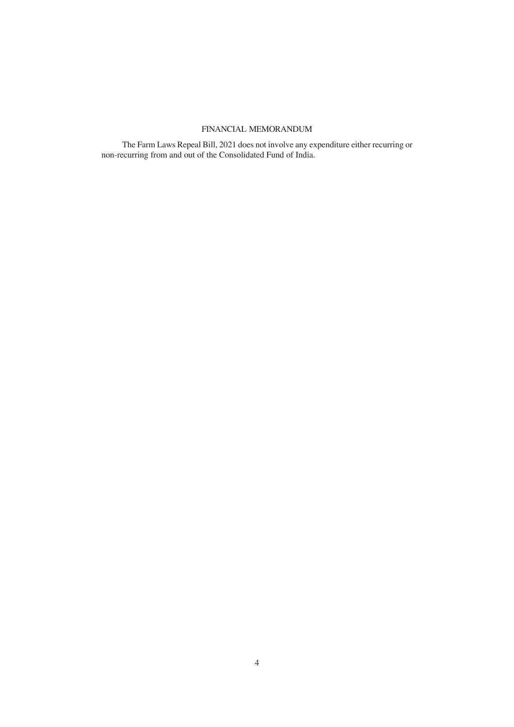# FINANCIAL MEMORANDUM

The Farm Laws Repeal Bill, 2021 does not involve any expenditure either recurring or non-recurring from and out of the Consolidated Fund of India.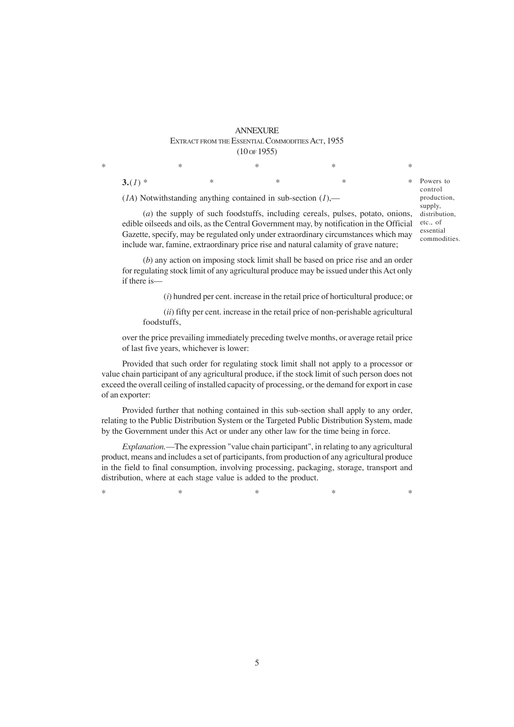### **ANNEXURE** EXTRACT FROM THE ESSENTIAL COMMODITIES ACT, 1955 (10 OF 1955)

 $*$  \*  $*$  \*  $*$  \*

(*1A*) Notwithstanding anything contained in sub-section (*1*),—

(*a*) the supply of such foodstuffs, including cereals, pulses, potato, onions, edible oilseeds and oils, as the Central Government may, by notification in the Official Gazette, specify, may be regulated only under extraordinary circumstances which may include war, famine, extraordinary price rise and natural calamity of grave nature;

**3.**(*l*) \* \* \* \* \* \*

(*b*) any action on imposing stock limit shall be based on price rise and an order for regulating stock limit of any agricultural produce may be issued under this Act only if there is—

(*i*) hundred per cent. increase in the retail price of horticultural produce; or

(*ii*) fifty per cent. increase in the retail price of non-perishable agricultural foodstuffs,

over the price prevailing immediately preceding twelve months, or average retail price of last five years, whichever is lower:

Provided that such order for regulating stock limit shall not apply to a processor or value chain participant of any agricultural produce, if the stock limit of such person does not exceed the overall ceiling of installed capacity of processing, or the demand for export in case of an exporter:

Provided further that nothing contained in this sub-section shall apply to any order, relating to the Public Distribution System or the Targeted Public Distribution System, made by the Government under this Act or under any other law for the time being in force.

*Explanation.*—The expression "value chain participant", in relating to any agricultural product, means and includes a set of participants, from production of any agricultural produce in the field to final consumption, involving processing, packaging, storage, transport and distribution, where at each stage value is added to the product.

 $*$  and  $*$  and  $*$  and  $*$  and  $*$  and  $*$ 

Powers to control production, supply, distribution, etc., of essential commodities.